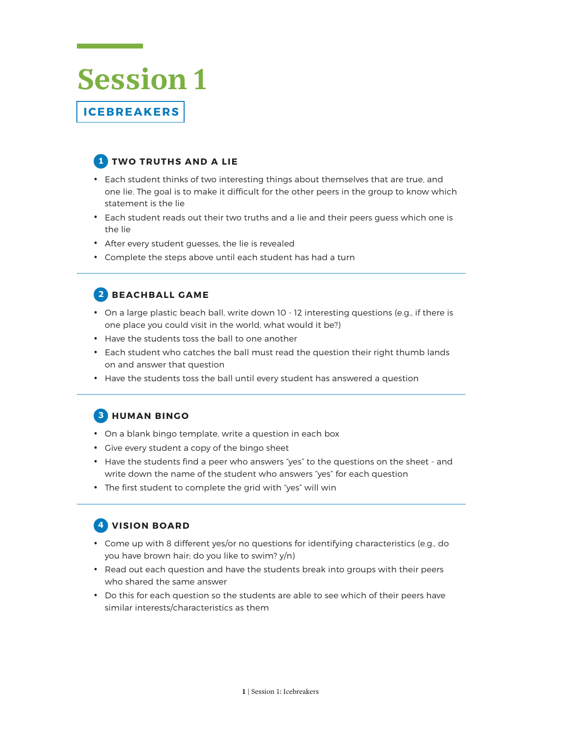# **Session 1 ICEBREAKERS**

## **1 TWO TRUTHS AND A LIE**

- Each student thinks of two interesting things about themselves that are true, and one lie. The goal is to make it difficult for the other peers in the group to know which statement is the lie
- Each student reads out their two truths and a lie and their peers guess which one is the lie
- After every student guesses, the lie is revealed
- Complete the steps above until each student has had a turn

#### **2 BEACHBALL GAME**

- On a large plastic beach ball, write down 10 12 interesting questions (e.g., if there is one place you could visit in the world, what would it be?)
- Have the students toss the ball to one another
- Each student who catches the ball must read the question their right thumb lands on and answer that question
- Have the students toss the ball until every student has answered a question

#### **3 HUMAN BINGO**

- On a blank bingo template, write a question in each box
- Give every student a copy of the bingo sheet
- Have the students find a peer who answers "yes" to the questions on the sheet and write down the name of the student who answers "yes" for each question
- The first student to complete the grid with "yes" will win

#### **4 VISION BOARD**

- Come up with 8 different yes/or no questions for identifying characteristics (e.g., do you have brown hair; do you like to swim? y/n)
- Read out each question and have the students break into groups with their peers who shared the same answer
- Do this for each question so the students are able to see which of their peers have similar interests/characteristics as them